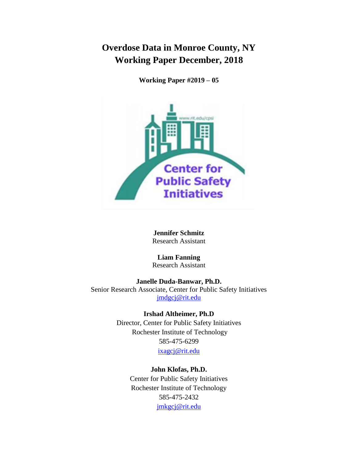# **Overdose Data in Monroe County, NY Working Paper December, 2018**

**Working Paper #2019 – 05**



**Jennifer Schmitz** Research Assistant

**Liam Fanning** Research Assistant

**Janelle Duda-Banwar, Ph.D.** Senior Research Associate, Center for Public Safety Initiatives [jmdgcj@rit.edu](mailto:jmdgcj@rit.edu)

> **Irshad Altheimer, Ph.D** Director, Center for Public Safety Initiatives Rochester Institute of Technology 585-475-6299 [ixagcj@rit.edu](mailto:ixagcj@rit.edu)

> > **John Klofas, Ph.D.** Center for Public Safety Initiatives Rochester Institute of Technology 585-475-2432 [jmkgcj@rit.edu](mailto:jmkgcj@rit.edu)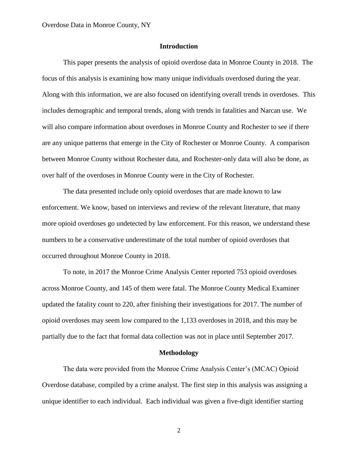# **Introduction**

This paper presents the analysis of opioid overdose data in Monroe County in 2018. The focus of this analysis is examining how many unique individuals overdosed during the year. Along with this information, we are also focused on identifying overall trends in overdoses. This includes demographic and temporal trends, along with trends in fatalities and Narcan use. We will also compare information about overdoses in Monroe County and Rochester to see if there are any unique patterns that emerge in the City of Rochester or Monroe County. A comparison between Monroe County without Rochester data, and Rochester-only data will also be done, as over half of the overdoses in Monroe County were in the City of Rochester.

The data presented include only opioid overdoses that are made known to law enforcement. We know, based on interviews and review of the relevant literature, that many more opioid overdoses go undetected by law enforcement. For this reason, we understand these numbers to be a conservative underestimate of the total number of opioid overdoses that occurred throughout Monroe County in 2018.

To note, in 2017 the Monroe Crime Analysis Center reported 753 opioid overdoses across Monroe County, and 145 of them were fatal. The Monroe County Medical Examiner updated the fatality count to 220, after finishing their investigations for 2017. The number of opioid overdoses may seem low compared to the 1,133 overdoses in 2018, and this may be partially due to the fact that formal data collection was not in place until September 2017.

#### **Methodology**

The data were provided from the Monroe Crime Analysis Center's (MCAC) Opioid Overdose database, compiled by a crime analyst. The first step in this analysis was assigning a unique identifier to each individual. Each individual was given a five-digit identifier starting

2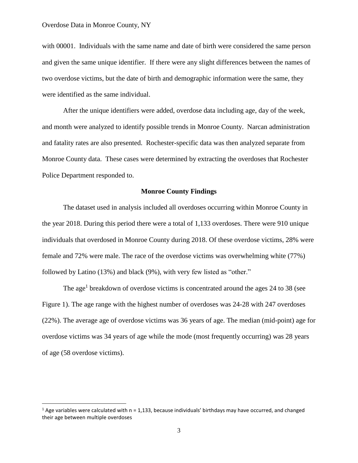#### Overdose Data in Monroe County, NY

l

with 00001. Individuals with the same name and date of birth were considered the same person and given the same unique identifier. If there were any slight differences between the names of two overdose victims, but the date of birth and demographic information were the same, they were identified as the same individual.

After the unique identifiers were added, overdose data including age, day of the week, and month were analyzed to identify possible trends in Monroe County. Narcan administration and fatality rates are also presented. Rochester-specific data was then analyzed separate from Monroe County data. These cases were determined by extracting the overdoses that Rochester Police Department responded to.

### **Monroe County Findings**

The dataset used in analysis included all overdoses occurring within Monroe County in the year 2018. During this period there were a total of 1,133 overdoses. There were 910 unique individuals that overdosed in Monroe County during 2018. Of these overdose victims, 28% were female and 72% were male. The race of the overdose victims was overwhelming white (77%) followed by Latino (13%) and black (9%), with very few listed as "other."

The age<sup>1</sup> breakdown of overdose victims is concentrated around the ages 24 to 38 (see Figure 1). The age range with the highest number of overdoses was 24-28 with 247 overdoses (22%). The average age of overdose victims was 36 years of age. The median (mid-point) age for overdose victims was 34 years of age while the mode (most frequently occurring) was 28 years of age (58 overdose victims).

 $1$  Age variables were calculated with n = 1,133, because individuals' birthdays may have occurred, and changed their age between multiple overdoses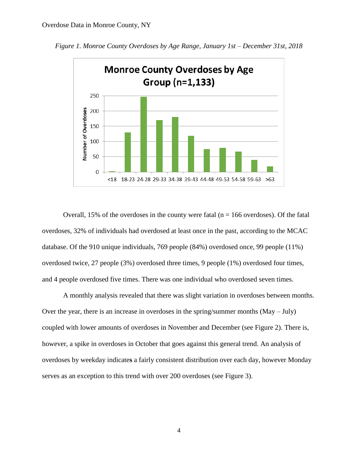

*Figure 1. Monroe County Overdoses by Age Range, January 1st – December 31st, 2018*

Overall, 15% of the overdoses in the county were fatal ( $n = 166$  overdoses). Of the fatal overdoses, 32% of individuals had overdosed at least once in the past, according to the MCAC database. Of the 910 unique individuals, 769 people (84%) overdosed once, 99 people (11%) overdosed twice, 27 people (3%) overdosed three times, 9 people (1%) overdosed four times, and 4 people overdosed five times. There was one individual who overdosed seven times.

A monthly analysis revealed that there was slight variation in overdoses between months. Over the year, there is an increase in overdoses in the spring/summer months (May – July) coupled with lower amounts of overdoses in November and December (see Figure 2). There is, however, a spike in overdoses in October that goes against this general trend. An analysis of overdoses by weekday indicate**s** a fairly consistent distribution over each day, however Monday serves as an exception to this trend with over 200 overdoses (see Figure 3).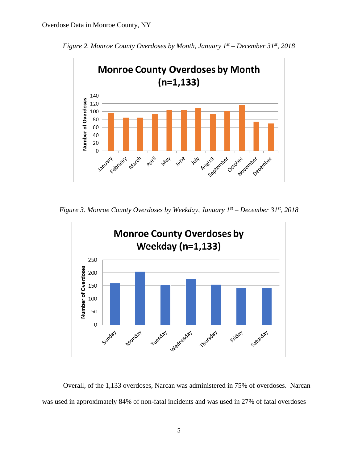

*Figure 2. Monroe County Overdoses by Month, January 1st – December 31st, 2018*

*Figure 3. Monroe County Overdoses by Weekday, January 1st – December 31st, 2018*



Overall, of the 1,133 overdoses, Narcan was administered in 75% of overdoses. Narcan was used in approximately 84% of non-fatal incidents and was used in 27% of fatal overdoses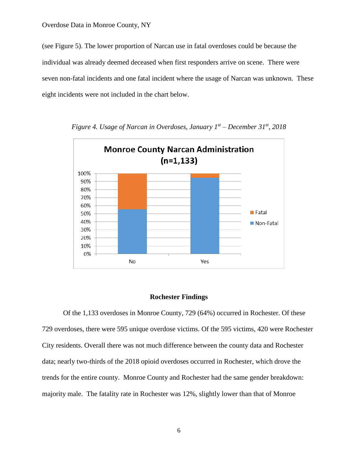(see Figure 5). The lower proportion of Narcan use in fatal overdoses could be because the individual was already deemed deceased when first responders arrive on scene. There were seven non-fatal incidents and one fatal incident where the usage of Narcan was unknown. These eight incidents were not included in the chart below.



*Figure 4. Usage of Narcan in Overdoses, January 1st – December 31st, 2018*

### **Rochester Findings**

Of the 1,133 overdoses in Monroe County, 729 (64%) occurred in Rochester. Of these 729 overdoses, there were 595 unique overdose victims. Of the 595 victims, 420 were Rochester City residents. Overall there was not much difference between the county data and Rochester data; nearly two-thirds of the 2018 opioid overdoses occurred in Rochester, which drove the trends for the entire county. Monroe County and Rochester had the same gender breakdown: majority male. The fatality rate in Rochester was 12%, slightly lower than that of Monroe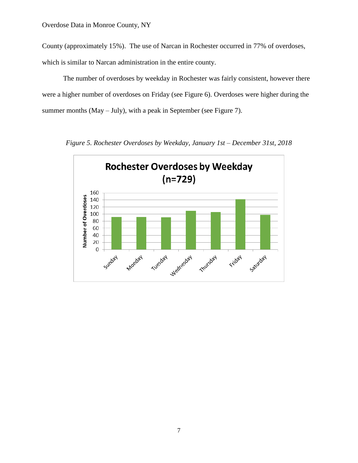County (approximately 15%). The use of Narcan in Rochester occurred in 77% of overdoses,

which is similar to Narcan administration in the entire county.

The number of overdoses by weekday in Rochester was fairly consistent, however there were a higher number of overdoses on Friday (see Figure 6). Overdoses were higher during the summer months (May – July), with a peak in September (see Figure 7).



*Figure 5. Rochester Overdoses by Weekday, January 1st – December 31st, 2018*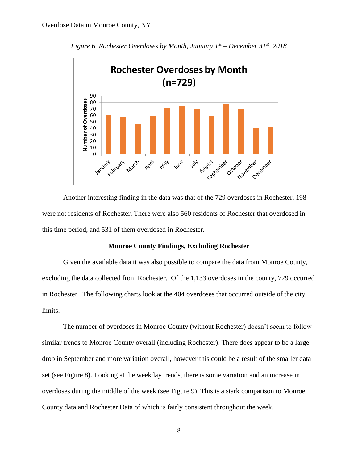

*Figure 6. Rochester Overdoses by Month, January 1st – December 31st, 2018*

Another interesting finding in the data was that of the 729 overdoses in Rochester, 198 were not residents of Rochester. There were also 560 residents of Rochester that overdosed in this time period, and 531 of them overdosed in Rochester.

### **Monroe County Findings, Excluding Rochester**

Given the available data it was also possible to compare the data from Monroe County, excluding the data collected from Rochester. Of the 1,133 overdoses in the county, 729 occurred in Rochester. The following charts look at the 404 overdoses that occurred outside of the city limits.

The number of overdoses in Monroe County (without Rochester) doesn't seem to follow similar trends to Monroe County overall (including Rochester). There does appear to be a large drop in September and more variation overall, however this could be a result of the smaller data set (see Figure 8). Looking at the weekday trends, there is some variation and an increase in overdoses during the middle of the week (see Figure 9). This is a stark comparison to Monroe County data and Rochester Data of which is fairly consistent throughout the week.

8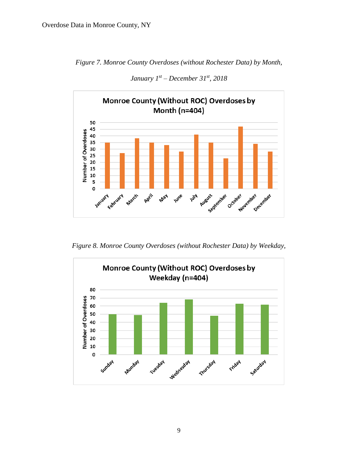



*January 1st – December 31st, 2018*

*Figure 8. Monroe County Overdoses (without Rochester Data) by Weekday,* 

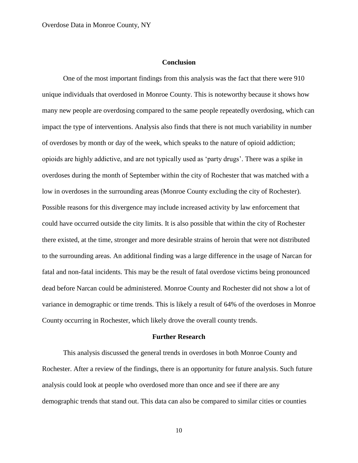# **Conclusion**

One of the most important findings from this analysis was the fact that there were 910 unique individuals that overdosed in Monroe County. This is noteworthy because it shows how many new people are overdosing compared to the same people repeatedly overdosing, which can impact the type of interventions. Analysis also finds that there is not much variability in number of overdoses by month or day of the week, which speaks to the nature of opioid addiction; opioids are highly addictive, and are not typically used as 'party drugs'. There was a spike in overdoses during the month of September within the city of Rochester that was matched with a low in overdoses in the surrounding areas (Monroe County excluding the city of Rochester). Possible reasons for this divergence may include increased activity by law enforcement that could have occurred outside the city limits. It is also possible that within the city of Rochester there existed, at the time, stronger and more desirable strains of heroin that were not distributed to the surrounding areas. An additional finding was a large difference in the usage of Narcan for fatal and non-fatal incidents. This may be the result of fatal overdose victims being pronounced dead before Narcan could be administered. Monroe County and Rochester did not show a lot of variance in demographic or time trends. This is likely a result of 64% of the overdoses in Monroe County occurring in Rochester, which likely drove the overall county trends.

#### **Further Research**

This analysis discussed the general trends in overdoses in both Monroe County and Rochester. After a review of the findings, there is an opportunity for future analysis. Such future analysis could look at people who overdosed more than once and see if there are any demographic trends that stand out. This data can also be compared to similar cities or counties

10